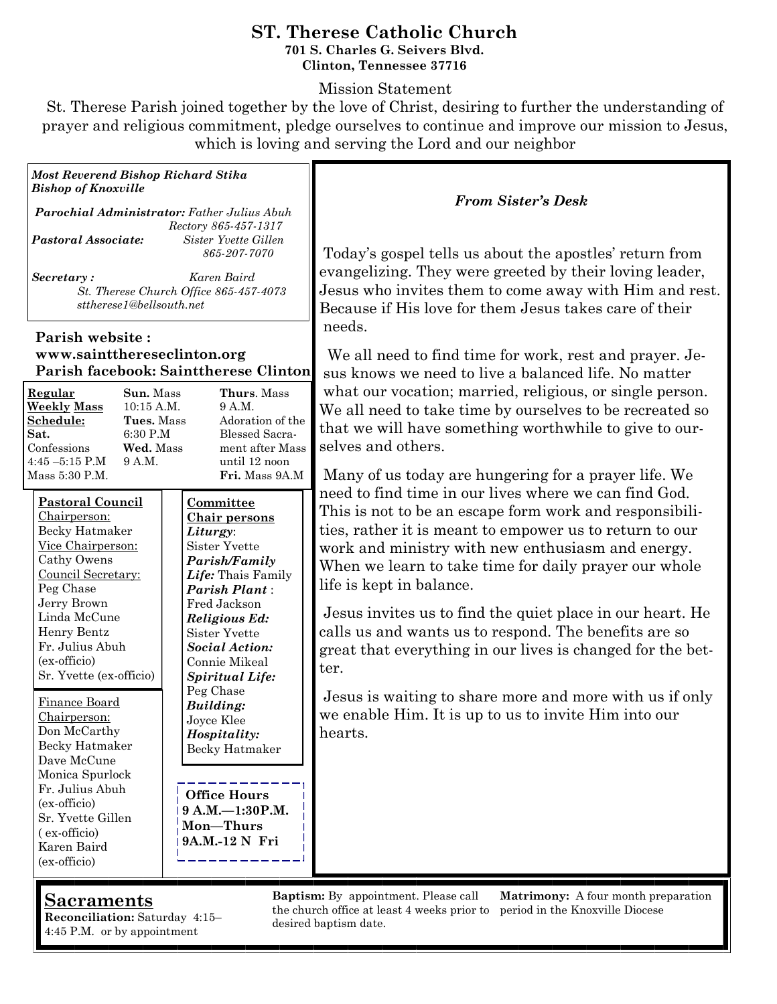#### **ST. Therese Catholic Church 701 S. Charles G. Seivers Blvd. Clinton, Tennessee 37716**

Mission Statement

St. Therese Parish joined together by the love of Christ, desiring to further the understanding of prayer and religious commitment, pledge ourselves to continue and improve our mission to Jesus, which is loving and serving the Lord and our neighbor

*Most Reverend Bishop Richard Stika Bishop of Knoxville* 

*Parochial Administrator: Father Julius Abuh Rectory 865-457-1317 Pastoral Associate: Sister Yvette Gillen 865-207-7070* 

*Secretary : Karen Baird St. Therese Church Office 865-457-4073 sttherese1@bellsouth.net* 

#### **Parish website : www.saintthereseclinton.org Parish facebook: Sainttherese Clinton**

| Regular            | <b>Sun.</b> Mass | <b>Thurs.</b> Mass    |
|--------------------|------------------|-----------------------|
| <b>Weekly Mass</b> | $10:15$ A.M.     | 9 A.M.                |
| Schedule:          | Tues. Mass       | Adoration of the      |
| Sat.               | 6:30 P.M         | <b>Blessed Sacra-</b> |
| Confessions        | Wed. Mass        | ment after Mass       |
| $4:45 - 5:15$ P.M  | 9 A.M.           | until 12 noon         |
| Mass 5:30 P.M.     |                  | Fri. Mass 9A.M        |
|                    |                  |                       |

| <u> Pastoral Council</u> | Committee             |
|--------------------------|-----------------------|
| Chairperson:             | <u>Chair persons</u>  |
| Becky Hatmaker           | Liturgy:              |
| Vice Chairperson:        | Sister Yvette         |
| Cathy Owens              | Parish/Family         |
| Council Secretary:       | Life: Thais Family    |
| Peg Chase                | Parish Plant:         |
| Jerry Brown              | Fred Jackson          |
| Linda McCune             | Religious Ed:         |
| Henry Bentz              | Sister Yvette         |
| Fr. Julius Abuh          | <b>Social Action:</b> |
| (ex-officio)             | Connie Mikeal         |
| Sr. Yvette (ex-officio)  | Spiritual Life:       |
|                          | Peg Chase             |
| Finance Board            | Building:             |
| Chairperson:             | Joyce Klee            |
| Don McCarthy             | Hospitality:          |
| Becky Hatmaker           | Becky Hatmaker        |
| Dave McCune              |                       |
| Monica Spurlock          |                       |
| Fr. Julius Abuh          | <b>Office Hours</b>   |
| (ex-officio)             | $9 A.M. - 1:30 P.M.$  |
| וויר <i>ז</i> עד מ       |                       |

**Mon—Thurs 9A.M.-12 N Fri**

Sr. Yvette Gillen ( ex-officio) Karen Baird (ex-officio)

*From Sister's Desk*

Today's gospel tells us about the apostles' return from evangelizing. They were greeted by their loving leader, Jesus who invites them to come away with Him and rest. Because if His love for them Jesus takes care of their needs.

We all need to find time for work, rest and prayer. Jesus knows we need to live a balanced life. No matter what our vocation; married, religious, or single person. We all need to take time by ourselves to be recreated so that we will have something worthwhile to give to ourselves and others.

Many of us today are hungering for a prayer life. We need to find time in our lives where we can find God. This is not to be an escape form work and responsibilities, rather it is meant to empower us to return to our work and ministry with new enthusiasm and energy. When we learn to take time for daily prayer our whole life is kept in balance.

Jesus invites us to find the quiet place in our heart. He calls us and wants us to respond. The benefits are so great that everything in our lives is changed for the better.

Jesus is waiting to share more and more with us if only we enable Him. It is up to us to invite Him into our hearts.

## **Sacraments**

**Reconciliation:** Saturday 4:15– 4:45 P.M. or by appointment

**Baptism:** By appointment. Please call the church office at least 4 weeks prior to desired baptism date.

**Matrimony:** A four month preparation period in the Knoxville Diocese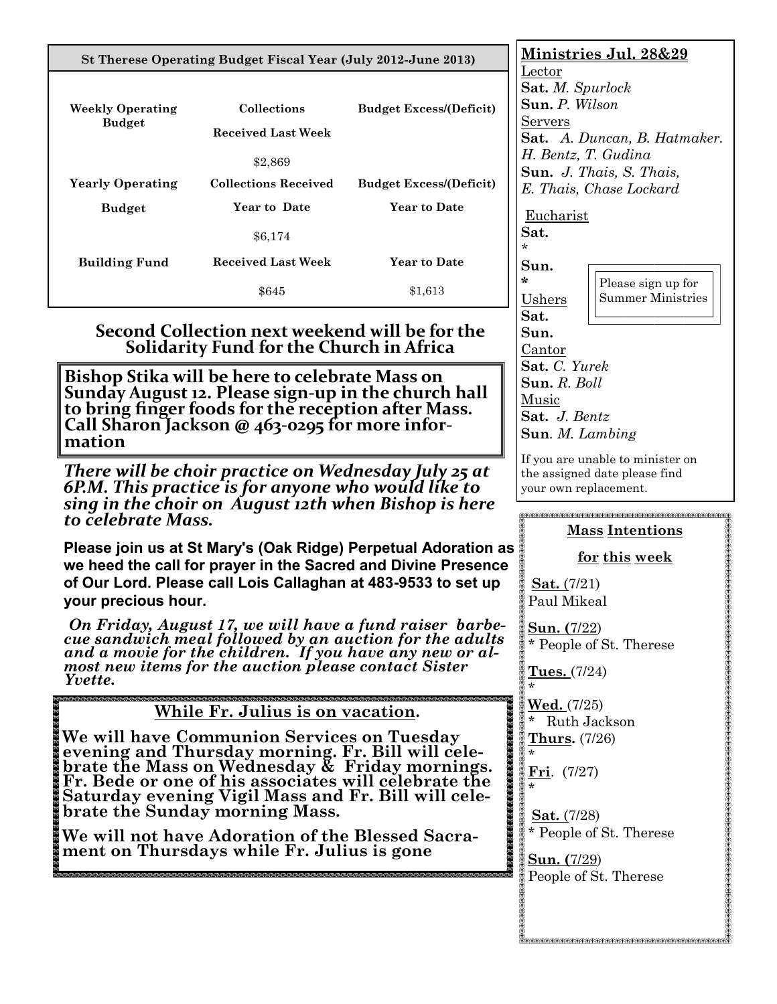| St Therese Operating Budget Fiscal Year (July 2012-June 2013)                                                                                                                                                                                              | <u>Ministries Jul. 28&amp;29</u><br>Lector                                                                                                                                                                                                                                                                                                                                                                                               |                                                                                                                                                                                                  |                                                                                                                                                               |  |
|------------------------------------------------------------------------------------------------------------------------------------------------------------------------------------------------------------------------------------------------------------|------------------------------------------------------------------------------------------------------------------------------------------------------------------------------------------------------------------------------------------------------------------------------------------------------------------------------------------------------------------------------------------------------------------------------------------|--------------------------------------------------------------------------------------------------------------------------------------------------------------------------------------------------|---------------------------------------------------------------------------------------------------------------------------------------------------------------|--|
| <b>Weekly Operating</b><br><b>Budget</b>                                                                                                                                                                                                                   | Collections<br><b>Received Last Week</b><br>\$2,869                                                                                                                                                                                                                                                                                                                                                                                      | <b>Budget Excess/(Deficit)</b>                                                                                                                                                                   | Sat. M. Spurlock<br>Sun. P. Wilson<br><b>Servers</b><br>Sat. A. Duncan, B. Hatmaker.<br>H. Bentz, T. Gudina<br>Sun. J. Thais, S. Thais,                       |  |
| <b>Yearly Operating</b>                                                                                                                                                                                                                                    | <b>Collections Received</b>                                                                                                                                                                                                                                                                                                                                                                                                              | <b>Budget Excess/(Deficit)</b>                                                                                                                                                                   | E. Thais, Chase Lockard                                                                                                                                       |  |
| <b>Budget</b>                                                                                                                                                                                                                                              | Year to Date                                                                                                                                                                                                                                                                                                                                                                                                                             | <b>Year to Date</b>                                                                                                                                                                              | Eucharist                                                                                                                                                     |  |
|                                                                                                                                                                                                                                                            | \$6,174                                                                                                                                                                                                                                                                                                                                                                                                                                  |                                                                                                                                                                                                  | Sat.<br>*.                                                                                                                                                    |  |
| <b>Building Fund</b>                                                                                                                                                                                                                                       | <b>Received Last Week</b>                                                                                                                                                                                                                                                                                                                                                                                                                | <b>Year to Date</b>                                                                                                                                                                              | Sun.<br>÷                                                                                                                                                     |  |
|                                                                                                                                                                                                                                                            | \$645                                                                                                                                                                                                                                                                                                                                                                                                                                    | \$1,613                                                                                                                                                                                          | Please sign up for<br><b>Summer Ministries</b><br>Ushers                                                                                                      |  |
| Second Collection next weekend will be for the<br>Solidarity Fund for the Church in Africa<br>Bishop Stika will be here to celebrate Mass on<br>Sunday August 12. Please sign-up in the church hall<br>to bring finger foods for the reception after Mass. |                                                                                                                                                                                                                                                                                                                                                                                                                                          |                                                                                                                                                                                                  | Sat.<br>Sun.<br>Cantor<br>Sat. C. Yurek<br>Sun. R. Boll<br>Music                                                                                              |  |
| Call Sharon Jackson @ 463-0295 for more infor-<br>mation                                                                                                                                                                                                   |                                                                                                                                                                                                                                                                                                                                                                                                                                          |                                                                                                                                                                                                  | Sat. J. Bentz<br><b>Sun.</b> <i>M.</i> Lambing                                                                                                                |  |
| There will be choir practice on Wednesday July 25 at<br>6P.M. This practice is for anyone who would like to<br>sing in the choir on August 12th when Bishop is here<br>to celebrate Mass.                                                                  |                                                                                                                                                                                                                                                                                                                                                                                                                                          |                                                                                                                                                                                                  | If you are unable to minister on<br>the assigned date please find<br>your own replacement.<br><b>Mass Intentions</b>                                          |  |
| vour precious hour.                                                                                                                                                                                                                                        |                                                                                                                                                                                                                                                                                                                                                                                                                                          | Please join us at St Mary's (Oak Ridge) Perpetual Adoration as<br>we heed the call for prayer in the Sacred and Divine Presence<br>of Our Lord. Please call Lois Callaghan at 483-9533 to set up | for this week<br><b>Sat.</b> $(7/21)$<br>Paul Mikeal                                                                                                          |  |
| On Friday, August 17, we will have a fund raiser barbe-<br>cue sandwich meal followed by an auction for the adults<br>and a movie for the children. If you have any new or al-<br>most new items for the auction please contact Sister<br>Yvette.          |                                                                                                                                                                                                                                                                                                                                                                                                                                          |                                                                                                                                                                                                  | Sun. (7/22)<br>* People of St. Therese<br><u>Tues. (7/24)</u>                                                                                                 |  |
|                                                                                                                                                                                                                                                            | While Fr. Julius is on vacation.<br>We will have Communion Services on Tuesday<br>evening and Thursday morning. Fr. Bill will cele-<br>brate the Mass on Wednesday & Friday mornings.<br>Fr. Bede or one of his associates will celebrate the<br>Saturday evening Vigil Mass and Fr. Bill will cele-<br>brate the Sunday morning Mass.<br>We will not have Adoration of the Blessed Sacra-<br>ment on Thursdays while Fr. Julius is gone |                                                                                                                                                                                                  | <u>Wed. (7/25)</u><br>Ruth Jackson<br>Thurs. (7/26)<br>Fri. $(7/27)$<br>Sat. (7/28)<br>* People of St. Therese<br><b>Sun.</b> (7/29)<br>People of St. Therese |  |
|                                                                                                                                                                                                                                                            |                                                                                                                                                                                                                                                                                                                                                                                                                                          |                                                                                                                                                                                                  | RARAKA RAKARARA RAKARA RAKARA RAKAR                                                                                                                           |  |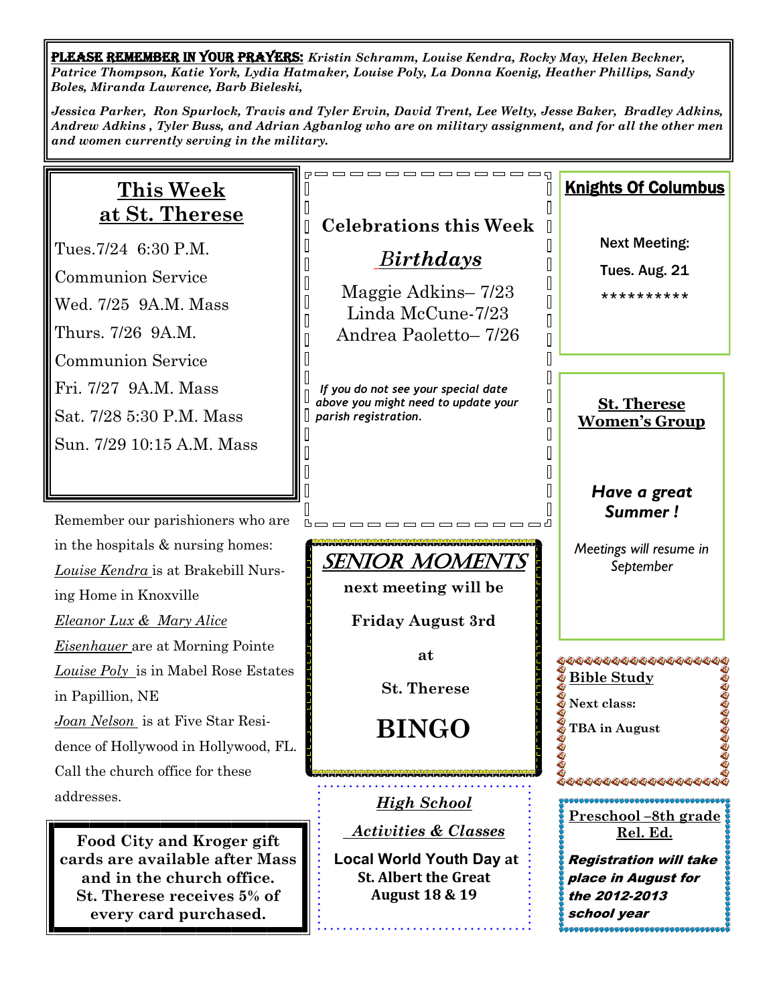PLEASE REMEMBER IN YOUR PRAYERS: *Kristin Schramm, Louise Kendra, Rocky May, Helen Beckner, Patrice Thompson, Katie York, Lydia Hatmaker, Louise Poly, La Donna Koenig, Heather Phillips, Sandy Boles, Miranda Lawrence, Barb Bieleski,* 

*Jessica Parker, Ron Spurlock, Travis and Tyler Ervin, David Trent, Lee Welty, Jesse Baker, Bradley Adkins, Andrew Adkins , Tyler Buss, and Adrian Agbanlog who are on military assignment, and for all the other men and women currently serving in the military.* 

| <u>This Week</u><br><u>at St. Therese</u>                                                                                                                                                                            | <b>Celebrations this Week</b>                                                                                                                                                      | <b>Knights Of Columbus</b>                                                                                                      |
|----------------------------------------------------------------------------------------------------------------------------------------------------------------------------------------------------------------------|------------------------------------------------------------------------------------------------------------------------------------------------------------------------------------|---------------------------------------------------------------------------------------------------------------------------------|
| Tues.7/24 6:30 P.M.<br><b>Communion Service</b><br>Wed. 7/25 9A.M. Mass<br>Thurs. 7/26 9A.M.<br><b>Communion Service</b><br>Fri. 7/27 9A.M. Mass<br>Sat. 7/28 5:30 P.M. Mass<br>Sun. 7/29 10:15 A.M. Mass            | Birthdays<br>Maggie Adkins-7/23<br>Linda McCune-7/23<br>Andrea Paoletto-7/26<br>If you do not see your special date<br>above you might need to update your<br>parish registration. | <b>Next Meeting:</b><br>Tues. Aug. 21<br>**********<br><b>St. Therese</b><br><b>Women's Group</b>                               |
| Remember our parishioners who are<br>in the hospitals & nursing homes:<br>Louise Kendra is at Brakebill Nurs-<br>ing Home in Knoxville<br><b>Eleanor Lux &amp; Mary Alice</b>                                        | SENIOR MOMEN<br>next meeting will be<br><b>Friday August 3rd</b>                                                                                                                   | Have a great<br><b>Summer!</b><br>Meetings will resume in<br>September                                                          |
| <b>Eisenhauer</b> are at Morning Pointe<br>Louise Poly is in Mabel Rose Estates<br>in Papillion, NE<br>Joan Nelson is at Five Star Resi-<br>dence of Hollywood in Hollywood, FL.<br>Call the church office for these | at<br><b>St. Therese</b><br><b>BINGO</b>                                                                                                                                           | 44444444444444444<br><u> &amp; Bible Study</u><br>Next class:<br>TBA in August                                                  |
| addresses.<br>Food City and Kroger gift<br>cards are available after Mass<br>and in the church office.<br>St. Therese receives 5% of<br>every card purchased.                                                        | <u>High School</u><br><b>Activities &amp; Classes</b><br><b>Local World Youth Day at</b><br><b>St. Albert the Great</b><br><b>August 18 &amp; 19</b>                               | <u>Preschool -8th grade</u><br>Rel. Ed.<br><b>Registration will take</b><br>place in August for<br>the 2012-2013<br>school year |